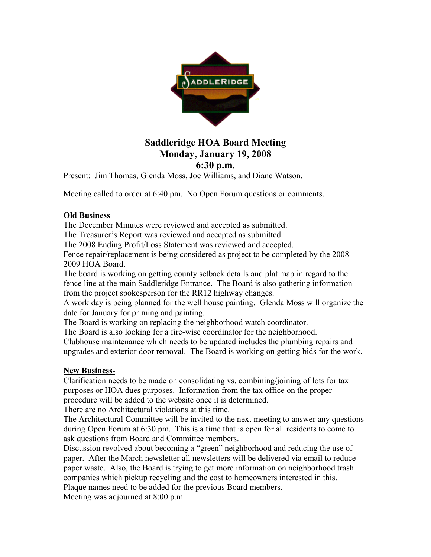

## **Saddleridge HOA Board Meeting Monday, January 19, 2008 6:30 p.m.**

Present: Jim Thomas, Glenda Moss, Joe Williams, and Diane Watson.

Meeting called to order at 6:40 pm. No Open Forum questions or comments.

## **Old Business**

The December Minutes were reviewed and accepted as submitted.

The Treasurer's Report was reviewed and accepted as submitted.

The 2008 Ending Profit/Loss Statement was reviewed and accepted.

Fence repair/replacement is being considered as project to be completed by the 2008- 2009 HOA Board.

The board is working on getting county setback details and plat map in regard to the fence line at the main Saddleridge Entrance. The Board is also gathering information from the project spokesperson for the RR12 highway changes.

A work day is being planned for the well house painting. Glenda Moss will organize the date for January for priming and painting.

The Board is working on replacing the neighborhood watch coordinator.

The Board is also looking for a fire-wise coordinator for the neighborhood.

Clubhouse maintenance which needs to be updated includes the plumbing repairs and upgrades and exterior door removal. The Board is working on getting bids for the work.

## **New Business-**

Clarification needs to be made on consolidating vs. combining/joining of lots for tax purposes or HOA dues purposes. Information from the tax office on the proper procedure will be added to the website once it is determined.

There are no Architectural violations at this time.

The Architectural Committee will be invited to the next meeting to answer any questions during Open Forum at 6:30 pm. This is a time that is open for all residents to come to ask questions from Board and Committee members.

Discussion revolved about becoming a "green" neighborhood and reducing the use of paper. After the March newsletter all newsletters will be delivered via email to reduce paper waste. Also, the Board is trying to get more information on neighborhood trash companies which pickup recycling and the cost to homeowners interested in this. Plaque names need to be added for the previous Board members.

Meeting was adjourned at 8:00 p.m.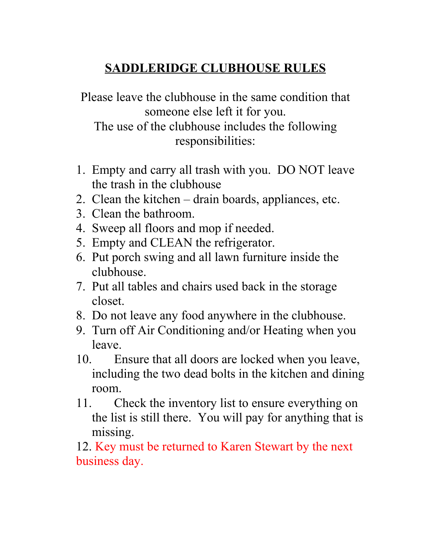## **SADDLERIDGE CLUBHOUSE RULES**

Please leave the clubhouse in the same condition that someone else left it for you.

The use of the clubhouse includes the following responsibilities:

- 1. Empty and carry all trash with you. DO NOT leave the trash in the clubhouse
- 2. Clean the kitchen drain boards, appliances, etc.
- 3. Clean the bathroom.
- 4. Sweep all floors and mop if needed.
- 5. Empty and CLEAN the refrigerator.
- 6. Put porch swing and all lawn furniture inside the clubhouse.
- 7. Put all tables and chairs used back in the storage closet.
- 8. Do not leave any food anywhere in the clubhouse.
- 9. Turn off Air Conditioning and/or Heating when you leave.
- 10. Ensure that all doors are locked when you leave, including the two dead bolts in the kitchen and dining room.
- 11. Check the inventory list to ensure everything on the list is still there. You will pay for anything that is missing.

12. Key must be returned to Karen Stewart by the next business day.